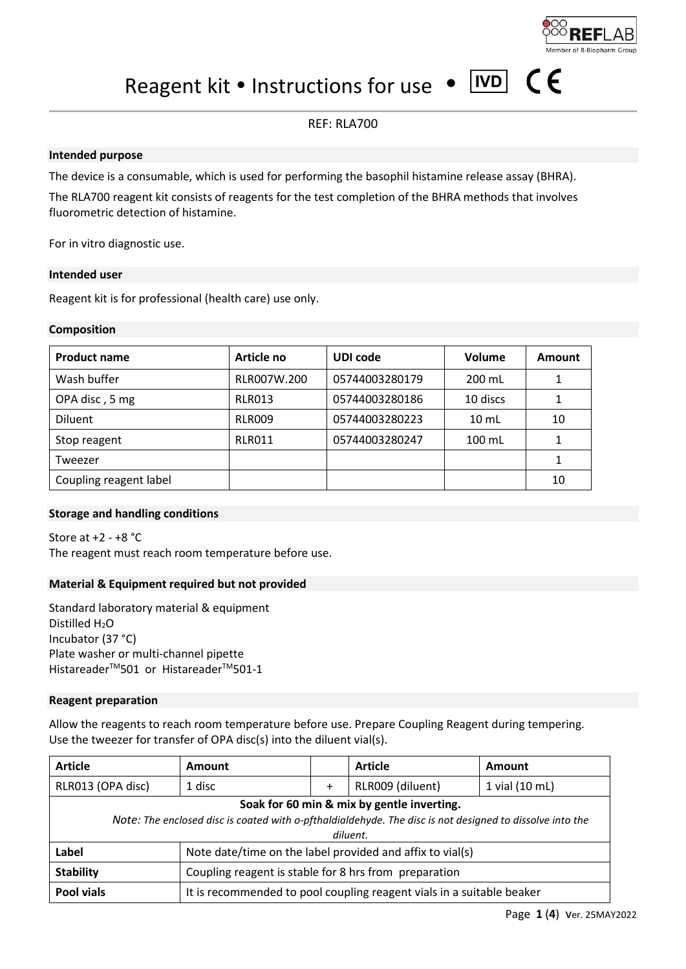# Reagent kit  $\bullet$  Instructions for use  $\bullet$  IVD

## Page **1** (**4**) ver. 25MAY2022

#### REF: RLA700

#### **Intended purpose**

The device is a consumable, which is used for performing the basophil histamine release assay (BHRA).

The RLA700 reagent kit consists of reagents for the test completion of the BHRA methods that involves fluorometric detection of histamine.

For in vitro diagnostic use.

#### **Intended user**

Reagent kit is for professional (health care) use only.

#### **Composition**

| <b>Product name</b>    | Article no    | UDI code       | Volume          | Amount |
|------------------------|---------------|----------------|-----------------|--------|
| Wash buffer            | RLR007W.200   | 05744003280179 | 200 mL          |        |
| OPA disc, 5 mg         | RLR013        | 05744003280186 | 10 discs        |        |
| <b>Diluent</b>         | <b>RLR009</b> | 05744003280223 | $10 \mathrm{m}$ | 10     |
| Stop reagent           | <b>RLR011</b> | 05744003280247 | $100$ mL        |        |
| Tweezer                |               |                |                 |        |
| Coupling reagent label |               |                |                 | 10     |

#### **Storage and handling conditions**

Store at +2 - +8 °C The reagent must reach room temperature before use.

#### **Material & Equipment required but not provided**

Standard laboratory material & equipment Distilled H<sub>2</sub>O Incubator (37 °C) Plate washer or multi-channel pipette Histareader<sup>™</sup>501 or Histareader<sup>™</sup>501-1

#### **Reagent preparation**

Allow the reagents to reach room temperature before use. Prepare Coupling Reagent during tempering. Use the tweezer for transfer of OPA disc(s) into the diluent vial(s).

| <b>Article</b>                                                                                           | Amount                                                                |           | <b>Article</b>   | <b>Amount</b>  |  |
|----------------------------------------------------------------------------------------------------------|-----------------------------------------------------------------------|-----------|------------------|----------------|--|
| RLR013 (OPA disc)                                                                                        | 1 disc                                                                | $\ddot{}$ | RLR009 (diluent) | 1 vial (10 mL) |  |
| Soak for 60 min & mix by gentle inverting.                                                               |                                                                       |           |                  |                |  |
| Note: The enclosed disc is coated with o-pfthaldialdehyde. The disc is not designed to dissolve into the |                                                                       |           |                  |                |  |
| diluent.                                                                                                 |                                                                       |           |                  |                |  |
| Label                                                                                                    | Note date/time on the label provided and affix to vial(s)             |           |                  |                |  |
| <b>Stability</b>                                                                                         | Coupling reagent is stable for 8 hrs from preparation                 |           |                  |                |  |
| <b>Pool vials</b>                                                                                        | It is recommended to pool coupling reagent vials in a suitable beaker |           |                  |                |  |



 $\epsilon$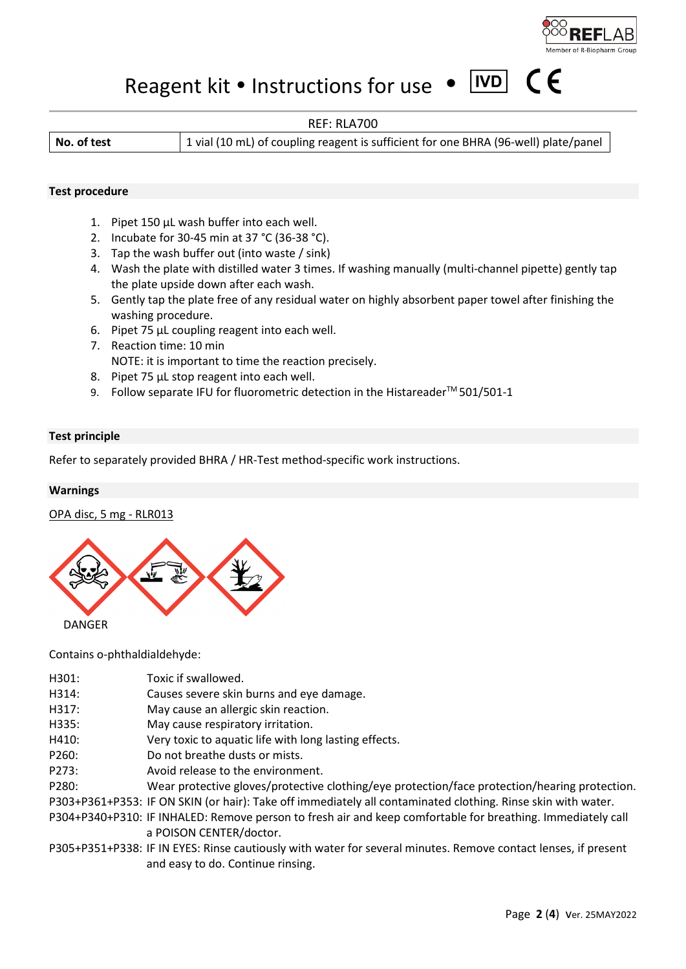

 $\epsilon$  $\epsilon$ 

# Reagent kit  $\bullet$  Instructions for use  $\bullet$  IVD

#### REF: RLA700

**No. of test** 1 vial (10 mL) of coupling reagent is sufficient for one BHRA (96-well) plate/panel

#### **Test procedure**

- 1. Pipet 150 µL wash buffer into each well.
- 2. Incubate for 30-45 min at 37 °C (36-38 °C).
- 3. Tap the wash buffer out (into waste / sink)
- 4. Wash the plate with distilled water 3 times. If washing manually (multi-channel pipette) gently tap the plate upside down after each wash.
- 5. Gently tap the plate free of any residual water on highly absorbent paper towel after finishing the washing procedure.
- 6. Pipet 75 µL coupling reagent into each well.
- 7. Reaction time: 10 min NOTE: it is important to time the reaction precisely.
- 8. Pipet 75 µL stop reagent into each well.
- 9. Follow separate IFU for fluorometric detection in the Histareader<sup>™</sup> 501/501-1

#### **Test principle**

Refer to separately provided BHRA / HR-Test method-specific work instructions.

#### **Warnings**

OPA disc, 5 mg - RLR013



Contains o-phthaldialdehyde:

| H301: | Toxic if swallowed.                                                                                            |
|-------|----------------------------------------------------------------------------------------------------------------|
| H314: | Causes severe skin burns and eye damage.                                                                       |
| H317: | May cause an allergic skin reaction.                                                                           |
| H335: | May cause respiratory irritation.                                                                              |
| H410: | Very toxic to aquatic life with long lasting effects.                                                          |
| P260: | Do not breathe dusts or mists.                                                                                 |
| P273: | Avoid release to the environment.                                                                              |
| P280: | Wear protective gloves/protective clothing/eye protection/face protection/hearing protection.                  |
|       | P303+P361+P353: IF ON SKIN (or hair): Take off immediately all contaminated clothing. Rinse skin with water.   |
|       | P304+P340+P310: IF INHALED: Remove person to fresh air and keep comfortable for breathing. Immediately call    |
|       | a POISON CENTER/doctor.                                                                                        |
|       | P305+P351+P338: IF IN EYES: Rinse cautiously with water for several minutes. Remove contact lenses, if present |
|       | and easy to do. Continue rinsing.                                                                              |
|       |                                                                                                                |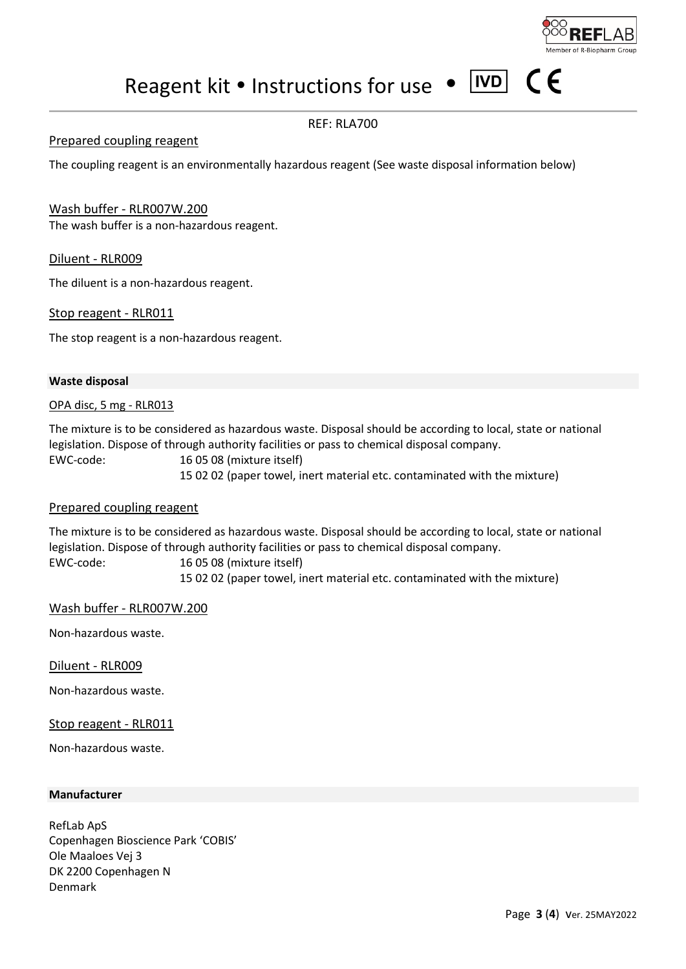Reagent kit  $\bullet$  Instructions for use  $\bullet$  IVD

# REF: RLA700

#### Prepared coupling reagent

The coupling reagent is an environmentally hazardous reagent (See waste disposal information below)

Wash buffer - RLR007W.200 The wash buffer is a non-hazardous reagent.

Diluent - RLR009

The diluent is a non-hazardous reagent.

Stop reagent - RLR011

The stop reagent is a non-hazardous reagent.

#### **Waste disposal**

OPA disc, 5 mg - RLR013

The mixture is to be considered as hazardous waste. Disposal should be according to local, state or national legislation. Dispose of through authority facilities or pass to chemical disposal company. EWC-code:16 05 08 (mixture itself)

15 02 02 (paper towel, inert material etc. contaminated with the mixture)

#### Prepared coupling reagent

The mixture is to be considered as hazardous waste. Disposal should be according to local, state or national legislation. Dispose of through authority facilities or pass to chemical disposal company. EWC-code:16 05 08 (mixture itself)

15 02 02 (paper towel, inert material etc. contaminated with the mixture)

Wash buffer - RLR007W.200

Non-hazardous waste.

Diluent - RLR009

Non-hazardous waste.

Stop reagent - RLR011

Non-hazardous waste.

#### **Manufacturer**

RefLab ApS Copenhagen Bioscience Park 'COBIS' Ole Maaloes Vej 3 DK 2200 Copenhagen N Denmark



 $\epsilon$